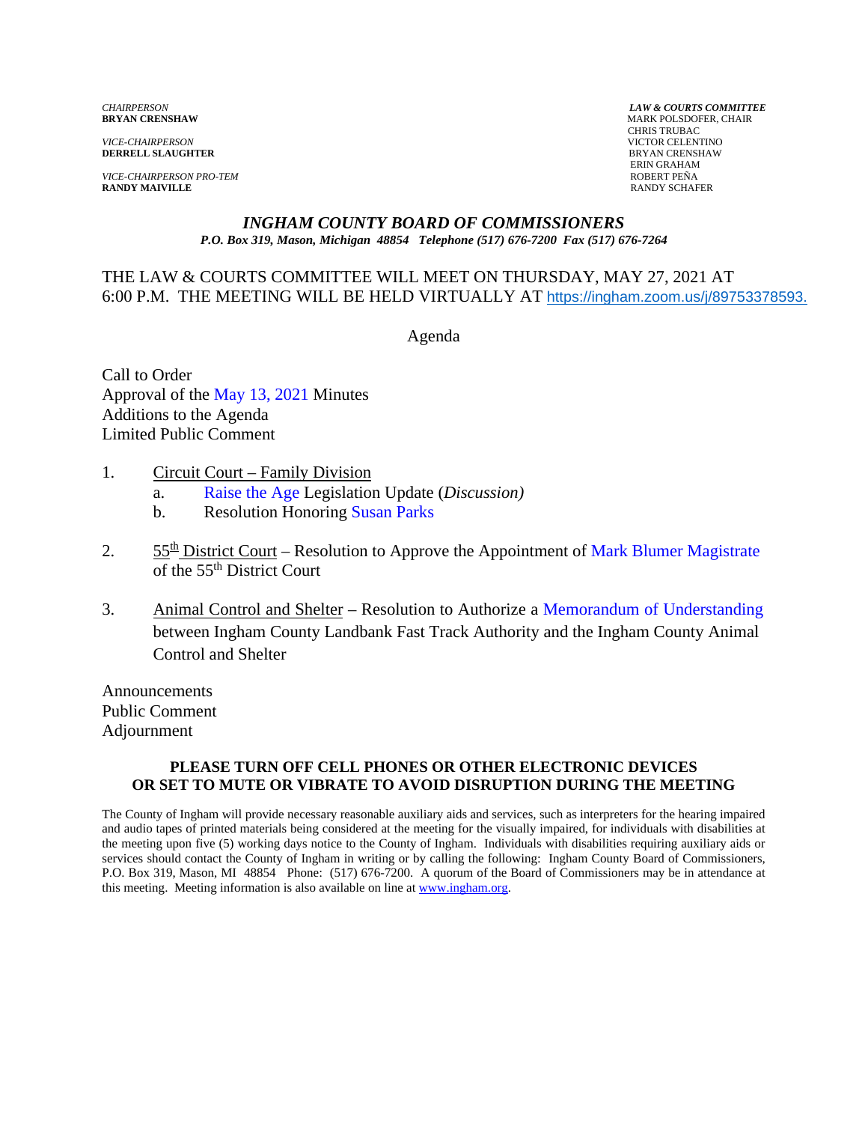*VICE-CHAIRPERSON* VICTOR CELENTINO **DERRELL SLAUGHTER** 

*VICE-CHAIRPERSON PRO-TEM* ROBERT PEÑA **RANDY MAIVILLE** 

*CHAIRPERSON LAW & COURTS COMMITTEE* **MARK POLSDOFER, CHAIR**  CHRIS TRUBAC ERIN GRAHAM<br>ROBERT PEÑA

#### *INGHAM COUNTY BOARD OF COMMISSIONERS P.O. Box 319, Mason, Michigan 48854 Telephone (517) 676-7200 Fax (517) 676-7264*

### THE LAW & COURTS COMMITTEE WILL MEET ON THURSDAY, MAY 27, 2021 AT 6:00 P.M. THE MEETING WILL BE HELD VIRTUALLY AT [https://ingham.zoom.us/j/89753378593.](https://ingham.zoom.us/j/89753378593)

Agenda

Call to Order Approval of t[he May 13, 2021 Minutes](#page-1-0)  Additions to the Agenda Limited Public Comment

- 1. Circuit Court Family Division
	- a. [Raise the Age Le](#page-9-0)gislation Update (*Discussion)*
	- b. Resolution Honorin[g Susan Parks](#page-11-0)
- 2.  $55<sup>th</sup>$  District Court Resolution to Approve the Appointment of Mark [Blumer Magistrate](#page-12-0) of the  $55<sup>th</sup>$  District Court
- 3. Animal Control and Shelter Resolution to Authoriz[e a Memorandum of Understanding](#page-14-0) between Ingham County Landbank Fast Track Authority and the Ingham County Animal Control and Shelter

Announcements Public Comment Adjournment

#### **PLEASE TURN OFF CELL PHONES OR OTHER ELECTRONIC DEVICES OR SET TO MUTE OR VIBRATE TO AVOID DISRUPTION DURING THE MEETING**

The County of Ingham will provide necessary reasonable auxiliary aids and services, such as interpreters for the hearing impaired and audio tapes of printed materials being considered at the meeting for the visually impaired, for individuals with disabilities at the meeting upon five (5) working days notice to the County of Ingham. Individuals with disabilities requiring auxiliary aids or services should contact the County of Ingham in writing or by calling the following: Ingham County Board of Commissioners, P.O. Box 319, Mason, MI 48854 Phone: (517) 676-7200. A quorum of the Board of Commissioners may be in attendance at this meeting. Meeting information is also available on line at www.ingham.org.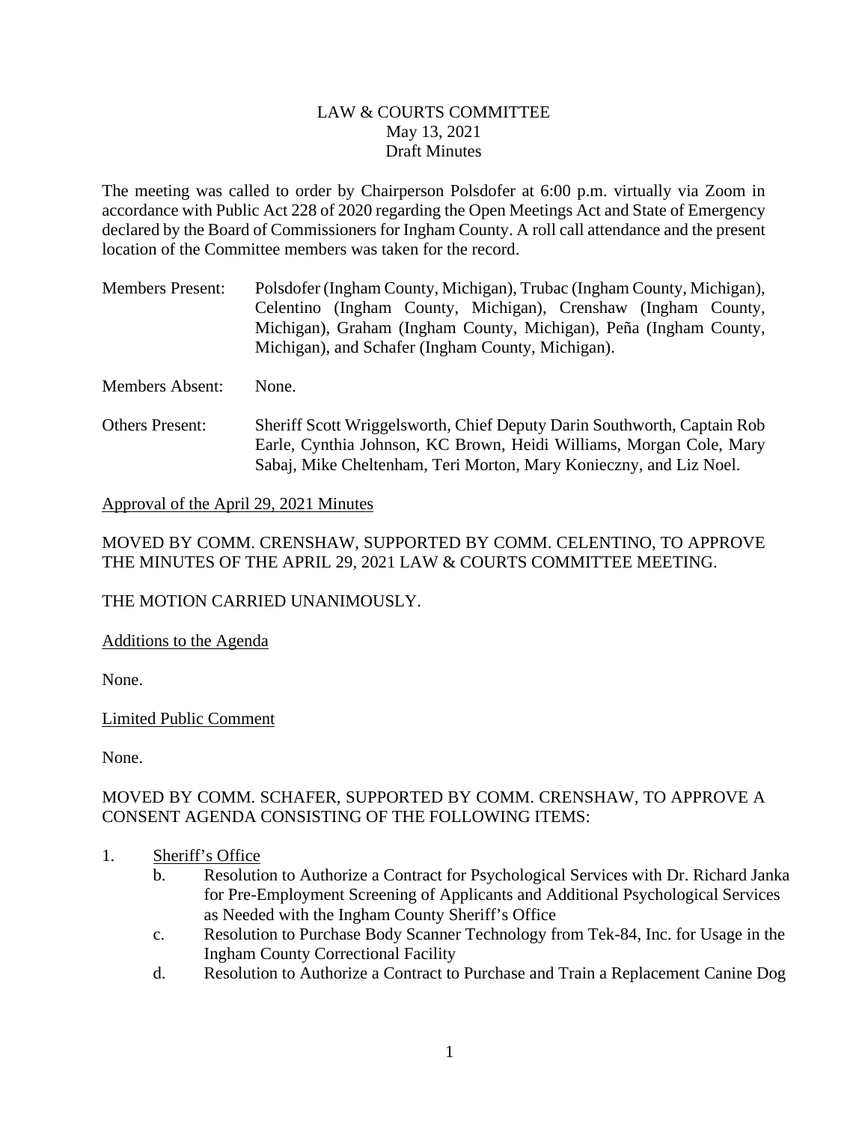### LAW & COURTS COMMITTEE May 13, 2021 Draft Minutes

<span id="page-1-0"></span>The meeting was called to order by Chairperson Polsdofer at 6:00 p.m. virtually via Zoom in accordance with Public Act 228 of 2020 regarding the Open Meetings Act and State of Emergency declared by the Board of Commissioners for Ingham County. A roll call attendance and the present location of the Committee members was taken for the record.

- Members Present: Polsdofer (Ingham County, Michigan), Trubac (Ingham County, Michigan), Celentino (Ingham County, Michigan), Crenshaw (Ingham County, Michigan), Graham (Ingham County, Michigan), Peña (Ingham County, Michigan), and Schafer (Ingham County, Michigan).
- Members Absent: None.
- Others Present: Sheriff Scott Wriggelsworth, Chief Deputy Darin Southworth, Captain Rob Earle, Cynthia Johnson, KC Brown, Heidi Williams, Morgan Cole, Mary Sabaj, Mike Cheltenham, Teri Morton, Mary Konieczny, and Liz Noel.

### Approval of the April 29, 2021 Minutes

MOVED BY COMM. CRENSHAW, SUPPORTED BY COMM. CELENTINO, TO APPROVE THE MINUTES OF THE APRIL 29, 2021 LAW & COURTS COMMITTEE MEETING.

### THE MOTION CARRIED UNANIMOUSLY.

Additions to the Agenda

None.

### Limited Public Comment

None.

### MOVED BY COMM. SCHAFER, SUPPORTED BY COMM. CRENSHAW, TO APPROVE A CONSENT AGENDA CONSISTING OF THE FOLLOWING ITEMS:

- 1. Sheriff's Office
	- b. Resolution to Authorize a Contract for Psychological Services with Dr. Richard Janka for Pre-Employment Screening of Applicants and Additional Psychological Services as Needed with the Ingham County Sheriff's Office
	- c. Resolution to Purchase Body Scanner Technology from Tek-84, Inc. for Usage in the Ingham County Correctional Facility
	- d. Resolution to Authorize a Contract to Purchase and Train a Replacement Canine Dog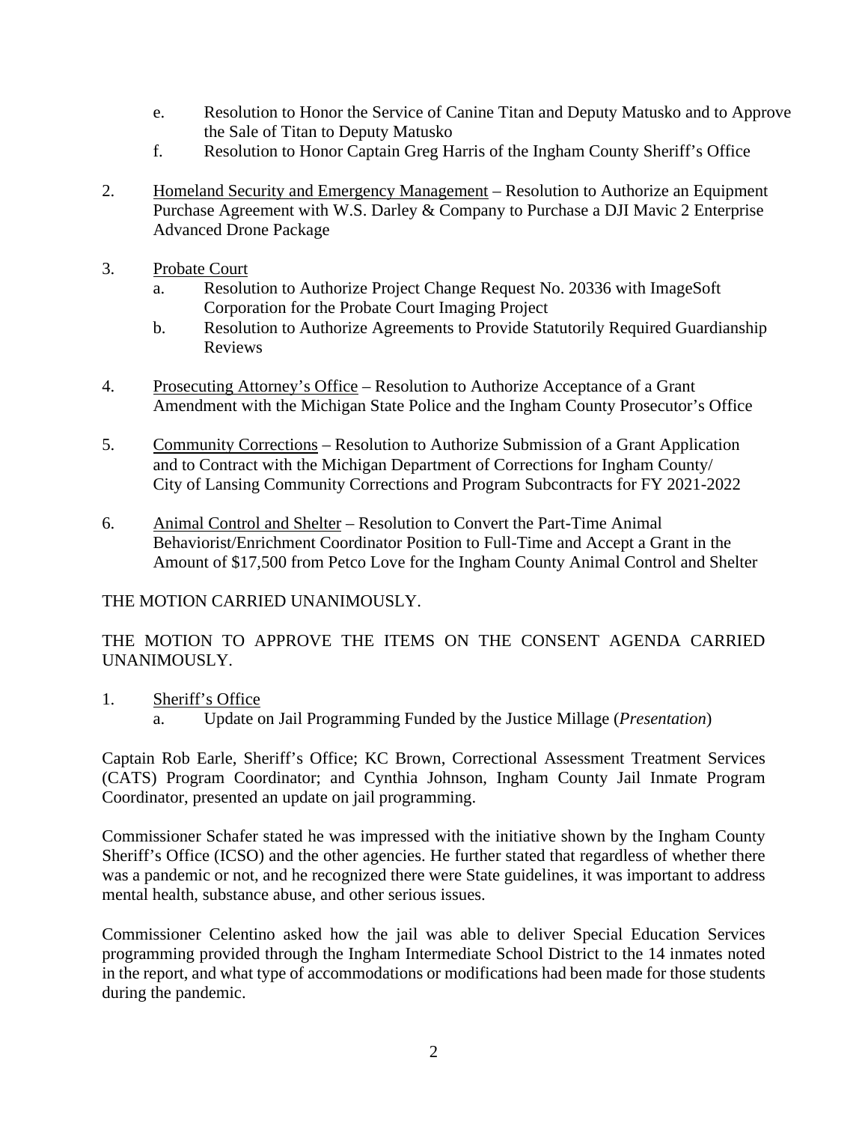- e. Resolution to Honor the Service of Canine Titan and Deputy Matusko and to Approve the Sale of Titan to Deputy Matusko
- f. Resolution to Honor Captain Greg Harris of the Ingham County Sheriff's Office
- 2. Homeland Security and Emergency Management Resolution to Authorize an Equipment Purchase Agreement with W.S. Darley & Company to Purchase a DJI Mavic 2 Enterprise Advanced Drone Package
- 3. Probate Court
	- a. Resolution to Authorize Project Change Request No. 20336 with ImageSoft Corporation for the Probate Court Imaging Project
	- b. Resolution to Authorize Agreements to Provide Statutorily Required Guardianship Reviews
- 4. Prosecuting Attorney's Office Resolution to Authorize Acceptance of a Grant Amendment with the Michigan State Police and the Ingham County Prosecutor's Office
- 5. Community Corrections Resolution to Authorize Submission of a Grant Application and to Contract with the Michigan Department of Corrections for Ingham County/ City of Lansing Community Corrections and Program Subcontracts for FY 2021-2022
- 6. Animal Control and Shelter Resolution to Convert the Part-Time Animal Behaviorist/Enrichment Coordinator Position to Full-Time and Accept a Grant in the Amount of \$17,500 from Petco Love for the Ingham County Animal Control and Shelter

### THE MOTION CARRIED UNANIMOUSLY.

### THE MOTION TO APPROVE THE ITEMS ON THE CONSENT AGENDA CARRIED UNANIMOUSLY.

### 1. Sheriff's Office

a. Update on Jail Programming Funded by the Justice Millage (*Presentation*)

Captain Rob Earle, Sheriff's Office; KC Brown, Correctional Assessment Treatment Services (CATS) Program Coordinator; and Cynthia Johnson, Ingham County Jail Inmate Program Coordinator, presented an update on jail programming.

Commissioner Schafer stated he was impressed with the initiative shown by the Ingham County Sheriff's Office (ICSO) and the other agencies. He further stated that regardless of whether there was a pandemic or not, and he recognized there were State guidelines, it was important to address mental health, substance abuse, and other serious issues.

Commissioner Celentino asked how the jail was able to deliver Special Education Services programming provided through the Ingham Intermediate School District to the 14 inmates noted in the report, and what type of accommodations or modifications had been made for those students during the pandemic.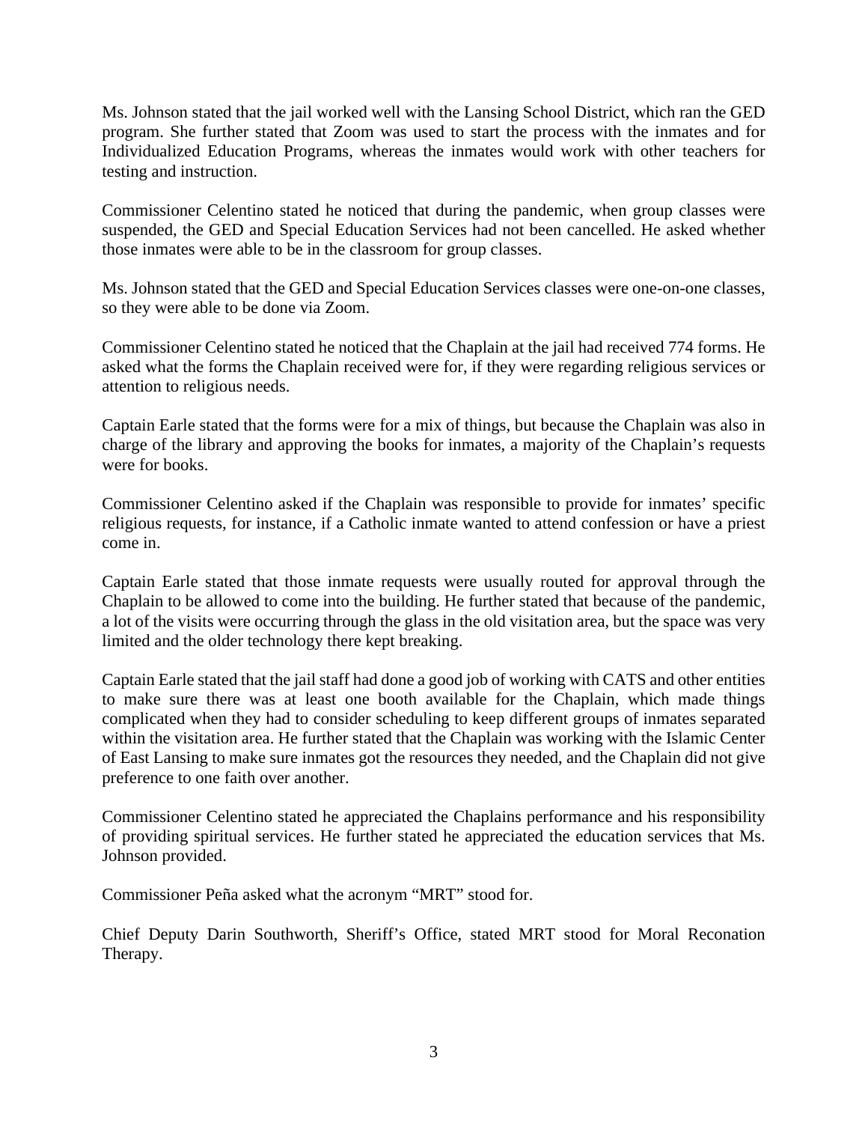Ms. Johnson stated that the jail worked well with the Lansing School District, which ran the GED program. She further stated that Zoom was used to start the process with the inmates and for Individualized Education Programs, whereas the inmates would work with other teachers for testing and instruction.

Commissioner Celentino stated he noticed that during the pandemic, when group classes were suspended, the GED and Special Education Services had not been cancelled. He asked whether those inmates were able to be in the classroom for group classes.

Ms. Johnson stated that the GED and Special Education Services classes were one-on-one classes, so they were able to be done via Zoom.

Commissioner Celentino stated he noticed that the Chaplain at the jail had received 774 forms. He asked what the forms the Chaplain received were for, if they were regarding religious services or attention to religious needs.

Captain Earle stated that the forms were for a mix of things, but because the Chaplain was also in charge of the library and approving the books for inmates, a majority of the Chaplain's requests were for books.

Commissioner Celentino asked if the Chaplain was responsible to provide for inmates' specific religious requests, for instance, if a Catholic inmate wanted to attend confession or have a priest come in.

Captain Earle stated that those inmate requests were usually routed for approval through the Chaplain to be allowed to come into the building. He further stated that because of the pandemic, a lot of the visits were occurring through the glass in the old visitation area, but the space was very limited and the older technology there kept breaking.

Captain Earle stated that the jail staff had done a good job of working with CATS and other entities to make sure there was at least one booth available for the Chaplain, which made things complicated when they had to consider scheduling to keep different groups of inmates separated within the visitation area. He further stated that the Chaplain was working with the Islamic Center of East Lansing to make sure inmates got the resources they needed, and the Chaplain did not give preference to one faith over another.

Commissioner Celentino stated he appreciated the Chaplains performance and his responsibility of providing spiritual services. He further stated he appreciated the education services that Ms. Johnson provided.

Commissioner Peña asked what the acronym "MRT" stood for.

Chief Deputy Darin Southworth, Sheriff's Office, stated MRT stood for Moral Reconation Therapy.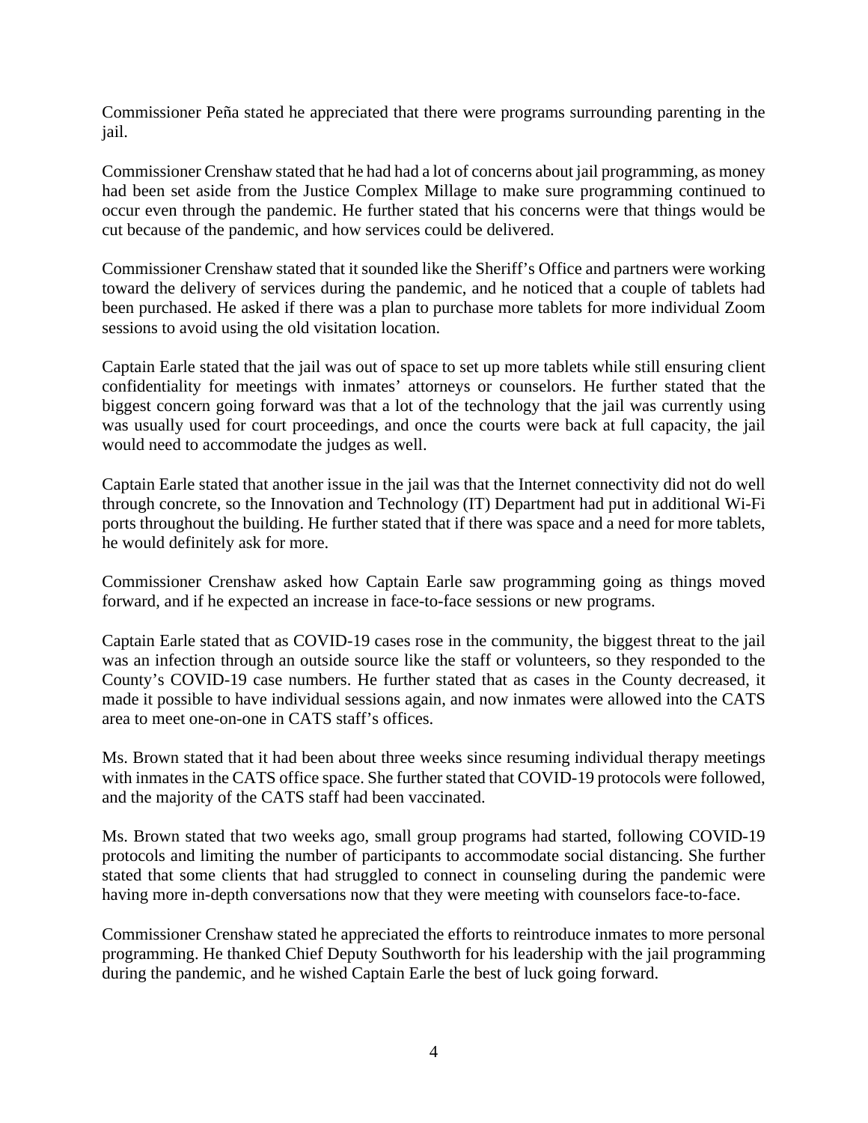Commissioner Peña stated he appreciated that there were programs surrounding parenting in the jail.

Commissioner Crenshaw stated that he had had a lot of concerns about jail programming, as money had been set aside from the Justice Complex Millage to make sure programming continued to occur even through the pandemic. He further stated that his concerns were that things would be cut because of the pandemic, and how services could be delivered.

Commissioner Crenshaw stated that it sounded like the Sheriff's Office and partners were working toward the delivery of services during the pandemic, and he noticed that a couple of tablets had been purchased. He asked if there was a plan to purchase more tablets for more individual Zoom sessions to avoid using the old visitation location.

Captain Earle stated that the jail was out of space to set up more tablets while still ensuring client confidentiality for meetings with inmates' attorneys or counselors. He further stated that the biggest concern going forward was that a lot of the technology that the jail was currently using was usually used for court proceedings, and once the courts were back at full capacity, the jail would need to accommodate the judges as well.

Captain Earle stated that another issue in the jail was that the Internet connectivity did not do well through concrete, so the Innovation and Technology (IT) Department had put in additional Wi-Fi ports throughout the building. He further stated that if there was space and a need for more tablets, he would definitely ask for more.

Commissioner Crenshaw asked how Captain Earle saw programming going as things moved forward, and if he expected an increase in face-to-face sessions or new programs.

Captain Earle stated that as COVID-19 cases rose in the community, the biggest threat to the jail was an infection through an outside source like the staff or volunteers, so they responded to the County's COVID-19 case numbers. He further stated that as cases in the County decreased, it made it possible to have individual sessions again, and now inmates were allowed into the CATS area to meet one-on-one in CATS staff's offices.

Ms. Brown stated that it had been about three weeks since resuming individual therapy meetings with inmates in the CATS office space. She further stated that COVID-19 protocols were followed, and the majority of the CATS staff had been vaccinated.

Ms. Brown stated that two weeks ago, small group programs had started, following COVID-19 protocols and limiting the number of participants to accommodate social distancing. She further stated that some clients that had struggled to connect in counseling during the pandemic were having more in-depth conversations now that they were meeting with counselors face-to-face.

Commissioner Crenshaw stated he appreciated the efforts to reintroduce inmates to more personal programming. He thanked Chief Deputy Southworth for his leadership with the jail programming during the pandemic, and he wished Captain Earle the best of luck going forward.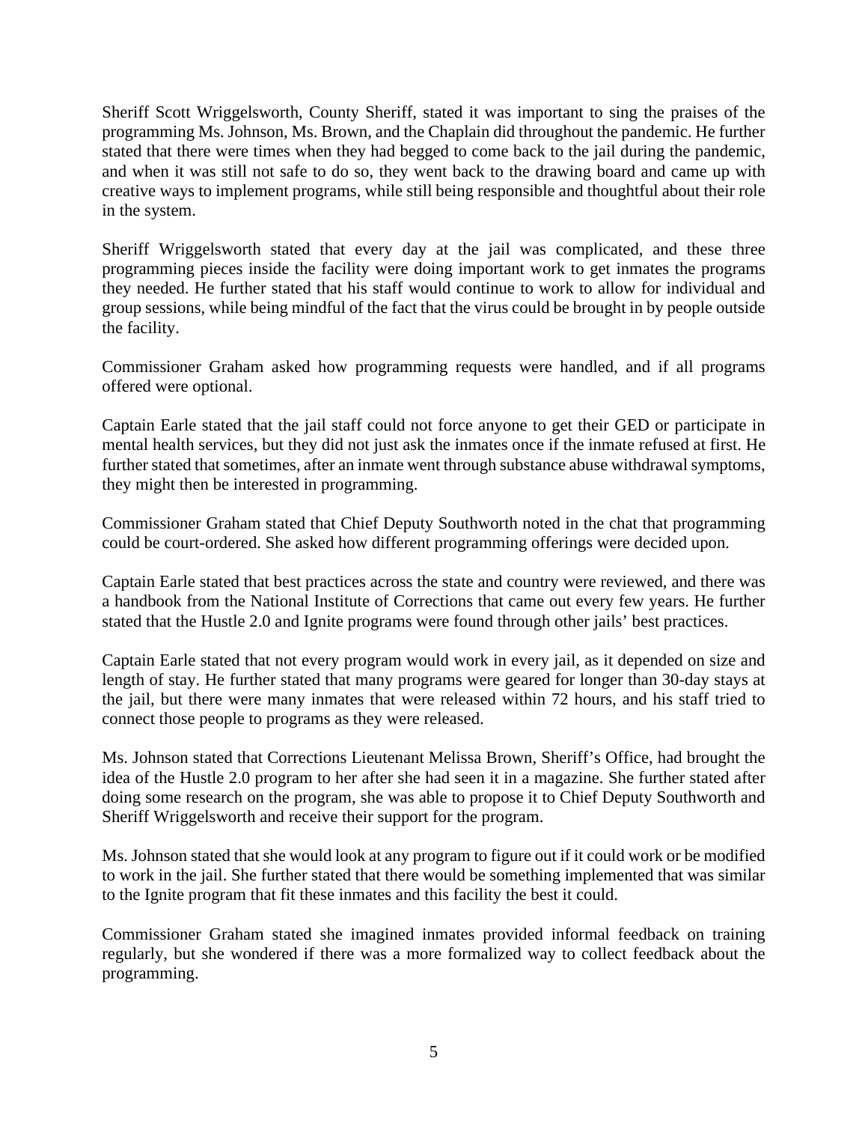Sheriff Scott Wriggelsworth, County Sheriff, stated it was important to sing the praises of the programming Ms. Johnson, Ms. Brown, and the Chaplain did throughout the pandemic. He further stated that there were times when they had begged to come back to the jail during the pandemic, and when it was still not safe to do so, they went back to the drawing board and came up with creative ways to implement programs, while still being responsible and thoughtful about their role in the system.

Sheriff Wriggelsworth stated that every day at the jail was complicated, and these three programming pieces inside the facility were doing important work to get inmates the programs they needed. He further stated that his staff would continue to work to allow for individual and group sessions, while being mindful of the fact that the virus could be brought in by people outside the facility.

Commissioner Graham asked how programming requests were handled, and if all programs offered were optional.

Captain Earle stated that the jail staff could not force anyone to get their GED or participate in mental health services, but they did not just ask the inmates once if the inmate refused at first. He further stated that sometimes, after an inmate went through substance abuse withdrawal symptoms, they might then be interested in programming.

Commissioner Graham stated that Chief Deputy Southworth noted in the chat that programming could be court-ordered. She asked how different programming offerings were decided upon.

Captain Earle stated that best practices across the state and country were reviewed, and there was a handbook from the National Institute of Corrections that came out every few years. He further stated that the Hustle 2.0 and Ignite programs were found through other jails' best practices.

Captain Earle stated that not every program would work in every jail, as it depended on size and length of stay. He further stated that many programs were geared for longer than 30-day stays at the jail, but there were many inmates that were released within 72 hours, and his staff tried to connect those people to programs as they were released.

Ms. Johnson stated that Corrections Lieutenant Melissa Brown, Sheriff's Office, had brought the idea of the Hustle 2.0 program to her after she had seen it in a magazine. She further stated after doing some research on the program, she was able to propose it to Chief Deputy Southworth and Sheriff Wriggelsworth and receive their support for the program.

Ms. Johnson stated that she would look at any program to figure out if it could work or be modified to work in the jail. She further stated that there would be something implemented that was similar to the Ignite program that fit these inmates and this facility the best it could.

Commissioner Graham stated she imagined inmates provided informal feedback on training regularly, but she wondered if there was a more formalized way to collect feedback about the programming.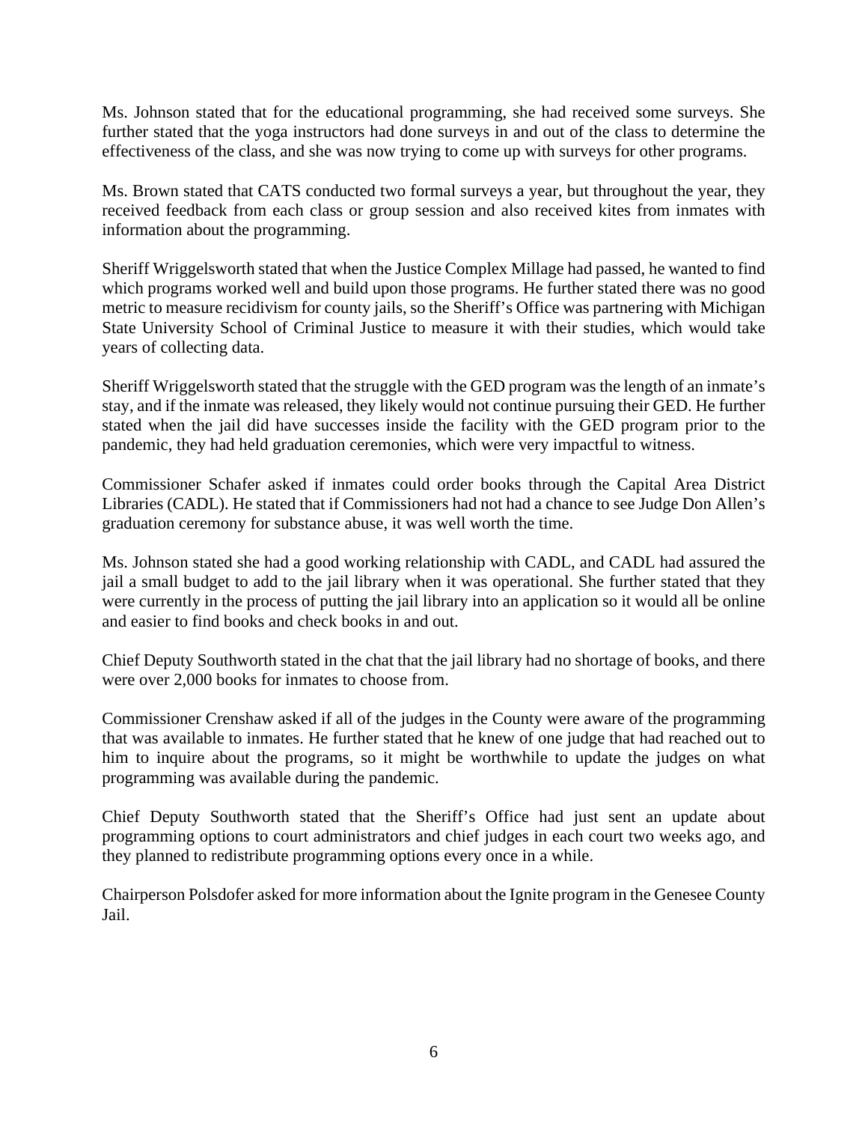Ms. Johnson stated that for the educational programming, she had received some surveys. She further stated that the yoga instructors had done surveys in and out of the class to determine the effectiveness of the class, and she was now trying to come up with surveys for other programs.

Ms. Brown stated that CATS conducted two formal surveys a year, but throughout the year, they received feedback from each class or group session and also received kites from inmates with information about the programming.

Sheriff Wriggelsworth stated that when the Justice Complex Millage had passed, he wanted to find which programs worked well and build upon those programs. He further stated there was no good metric to measure recidivism for county jails, so the Sheriff's Office was partnering with Michigan State University School of Criminal Justice to measure it with their studies, which would take years of collecting data.

Sheriff Wriggelsworth stated that the struggle with the GED program was the length of an inmate's stay, and if the inmate was released, they likely would not continue pursuing their GED. He further stated when the jail did have successes inside the facility with the GED program prior to the pandemic, they had held graduation ceremonies, which were very impactful to witness.

Commissioner Schafer asked if inmates could order books through the Capital Area District Libraries (CADL). He stated that if Commissioners had not had a chance to see Judge Don Allen's graduation ceremony for substance abuse, it was well worth the time.

Ms. Johnson stated she had a good working relationship with CADL, and CADL had assured the jail a small budget to add to the jail library when it was operational. She further stated that they were currently in the process of putting the jail library into an application so it would all be online and easier to find books and check books in and out.

Chief Deputy Southworth stated in the chat that the jail library had no shortage of books, and there were over 2,000 books for inmates to choose from.

Commissioner Crenshaw asked if all of the judges in the County were aware of the programming that was available to inmates. He further stated that he knew of one judge that had reached out to him to inquire about the programs, so it might be worthwhile to update the judges on what programming was available during the pandemic.

Chief Deputy Southworth stated that the Sheriff's Office had just sent an update about programming options to court administrators and chief judges in each court two weeks ago, and they planned to redistribute programming options every once in a while.

Chairperson Polsdofer asked for more information about the Ignite program in the Genesee County Jail.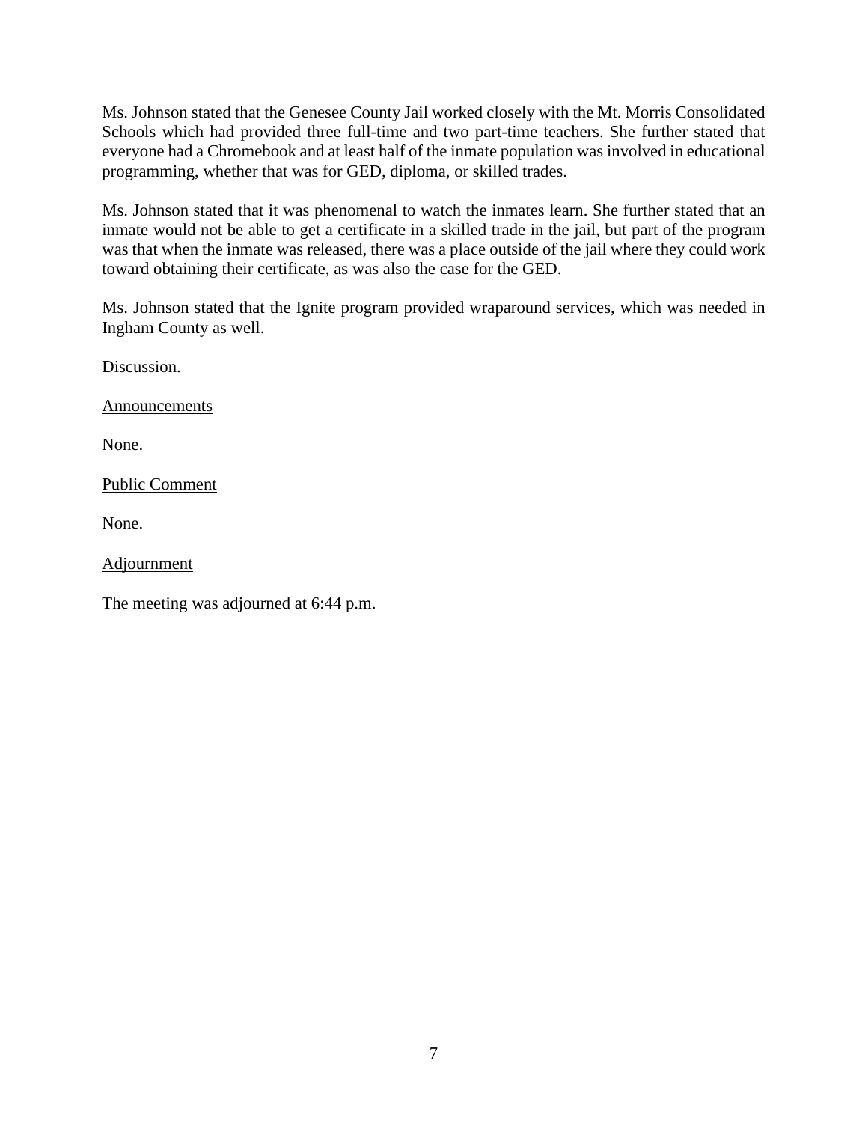Ms. Johnson stated that the Genesee County Jail worked closely with the Mt. Morris Consolidated Schools which had provided three full-time and two part-time teachers. She further stated that everyone had a Chromebook and at least half of the inmate population was involved in educational programming, whether that was for GED, diploma, or skilled trades.

Ms. Johnson stated that it was phenomenal to watch the inmates learn. She further stated that an inmate would not be able to get a certificate in a skilled trade in the jail, but part of the program was that when the inmate was released, there was a place outside of the jail where they could work toward obtaining their certificate, as was also the case for the GED.

Ms. Johnson stated that the Ignite program provided wraparound services, which was needed in Ingham County as well.

Discussion.

Announcements

None.

Public Comment

None.

Adjournment

The meeting was adjourned at 6:44 p.m.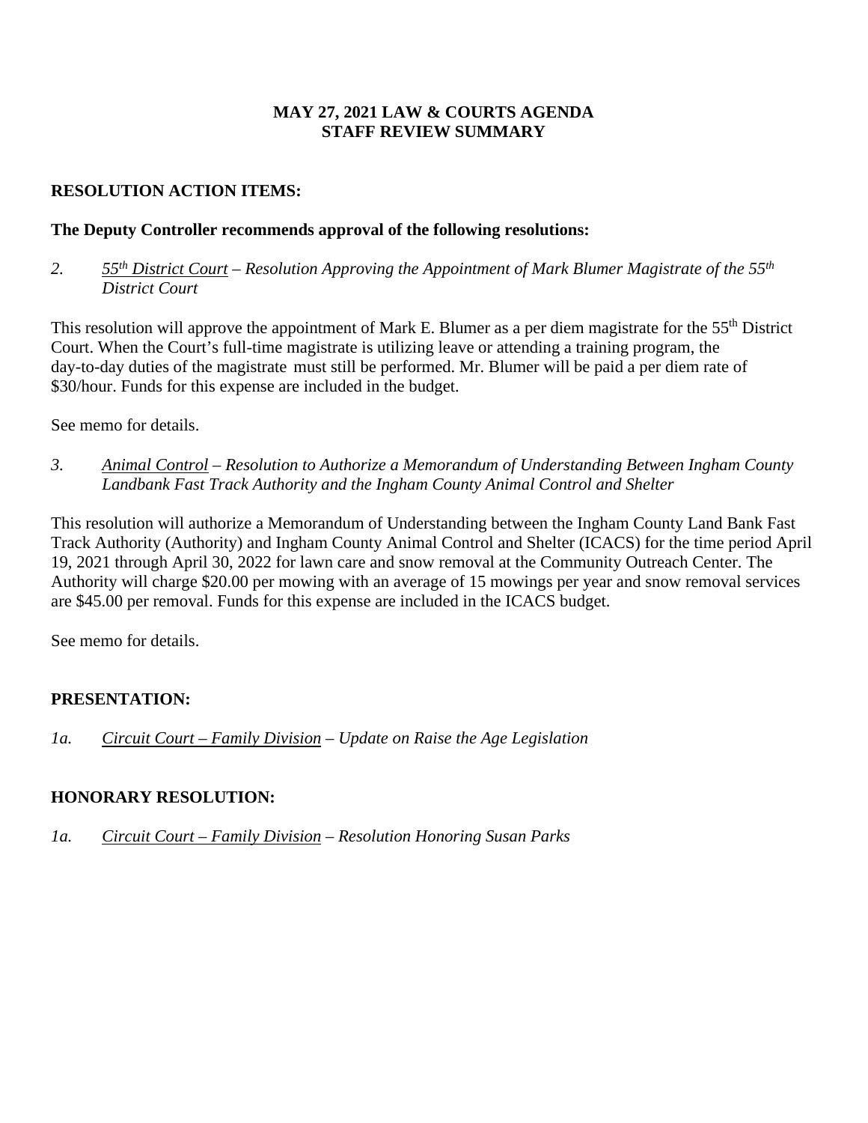### **MAY 27, 2021 LAW & COURTS AGENDA STAFF REVIEW SUMMARY**

## **RESOLUTION ACTION ITEMS:**

### **The Deputy Controller recommends approval of the following resolutions:**

*2. 55th District Court – Resolution Approving the Appointment of Mark Blumer Magistrate of the 55th District Court*

This resolution will approve the appointment of Mark E. Blumer as a per diem magistrate for the 55<sup>th</sup> District Court. When the Court's full-time magistrate is utilizing leave or attending a training program, the day-to-day duties of the magistrate must still be performed. Mr. Blumer will be paid a per diem rate of \$30/hour. Funds for this expense are included in the budget.

See memo for details.

*3. Animal Control – Resolution to Authorize a Memorandum of Understanding Between Ingham County Landbank Fast Track Authority and the Ingham County Animal Control and Shelter* 

This resolution will authorize a Memorandum of Understanding between the Ingham County Land Bank Fast Track Authority (Authority) and Ingham County Animal Control and Shelter (ICACS) for the time period April 19, 2021 through April 30, 2022 for lawn care and snow removal at the Community Outreach Center. The Authority will charge \$20.00 per mowing with an average of 15 mowings per year and snow removal services are \$45.00 per removal. Funds for this expense are included in the ICACS budget.

See memo for details.

## **PRESENTATION:**

*1a. Circuit Court – Family Division – Update on Raise the Age Legislation*

## **HONORARY RESOLUTION:**

*1a. Circuit Court – Family Division – Resolution Honoring Susan Parks*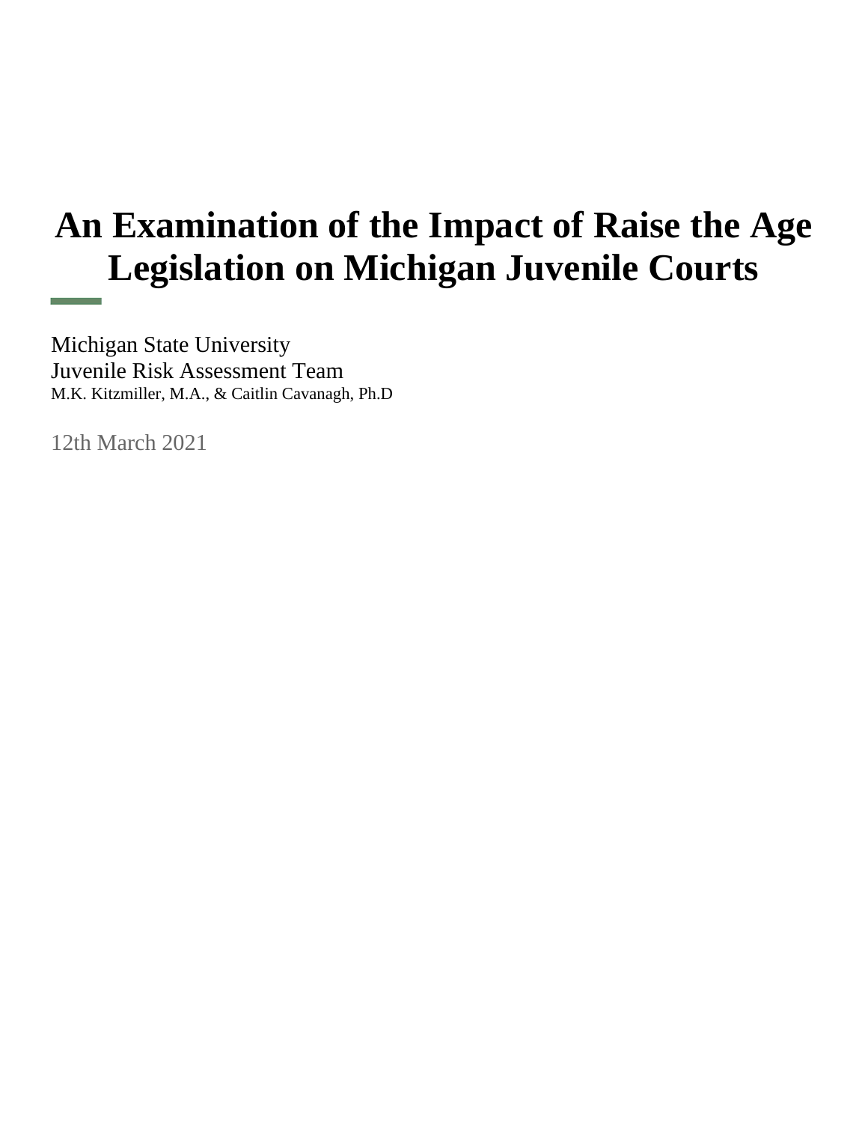# <span id="page-9-0"></span>**An Examination of the Impact of Raise the Age Legislation on Michigan Juvenile Courts Contract**

Michigan State University Juvenile Risk Assessment Team M.K. Kitzmiller, M.A., & Caitlin Cavanagh, Ph.D

12th March 2021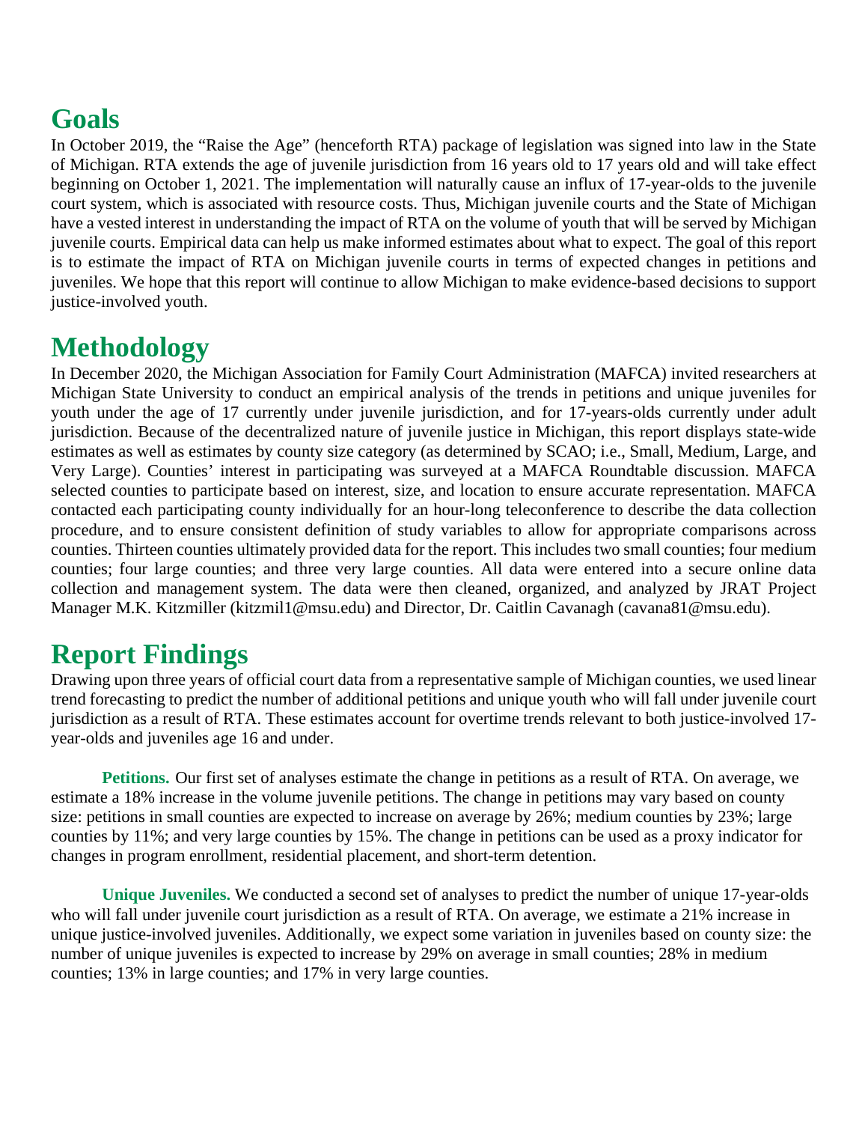# **Goals**

In October 2019, the "Raise the Age" (henceforth RTA) package of legislation was signed into law in the State of Michigan. RTA extends the age of juvenile jurisdiction from 16 years old to 17 years old and will take effect beginning on October 1, 2021. The implementation will naturally cause an influx of 17-year-olds to the juvenile court system, which is associated with resource costs. Thus, Michigan juvenile courts and the State of Michigan have a vested interest in understanding the impact of RTA on the volume of youth that will be served by Michigan juvenile courts. Empirical data can help us make informed estimates about what to expect. The goal of this report is to estimate the impact of RTA on Michigan juvenile courts in terms of expected changes in petitions and juveniles. We hope that this report will continue to allow Michigan to make evidence-based decisions to support justice-involved youth.

## **Methodology**

In December 2020, the Michigan Association for Family Court Administration (MAFCA) invited researchers at Michigan State University to conduct an empirical analysis of the trends in petitions and unique juveniles for youth under the age of 17 currently under juvenile jurisdiction, and for 17-years-olds currently under adult jurisdiction. Because of the decentralized nature of juvenile justice in Michigan, this report displays state-wide estimates as well as estimates by county size category (as determined by SCAO; i.e., Small, Medium, Large, and Very Large). Counties' interest in participating was surveyed at a MAFCA Roundtable discussion. MAFCA selected counties to participate based on interest, size, and location to ensure accurate representation. MAFCA contacted each participating county individually for an hour-long teleconference to describe the data collection procedure, and to ensure consistent definition of study variables to allow for appropriate comparisons across counties. Thirteen counties ultimately provided data for the report. This includes two small counties; four medium counties; four large counties; and three very large counties. All data were entered into a secure online data collection and management system. The data were then cleaned, organized, and analyzed by JRAT Project Manager M.K. Kitzmiller (kitzmil1@msu.edu) and Director, Dr. Caitlin Cavanagh (cavana81@msu.edu).

## **Report Findings**

Drawing upon three years of official court data from a representative sample of Michigan counties, we used linear trend forecasting to predict the number of additional petitions and unique youth who will fall under juvenile court jurisdiction as a result of RTA. These estimates account for overtime trends relevant to both justice-involved 17 year-olds and juveniles age 16 and under.

**Petitions.** Our first set of analyses estimate the change in petitions as a result of RTA. On average, we estimate a 18% increase in the volume juvenile petitions. The change in petitions may vary based on county size: petitions in small counties are expected to increase on average by 26%; medium counties by 23%; large counties by 11%; and very large counties by 15%. The change in petitions can be used as a proxy indicator for changes in program enrollment, residential placement, and short-term detention.

**Unique Juveniles.** We conducted a second set of analyses to predict the number of unique 17-year-olds who will fall under juvenile court jurisdiction as a result of RTA. On average, we estimate a 21% increase in unique justice-involved juveniles. Additionally, we expect some variation in juveniles based on county size: the number of unique juveniles is expected to increase by 29% on average in small counties; 28% in medium counties; 13% in large counties; and 17% in very large counties.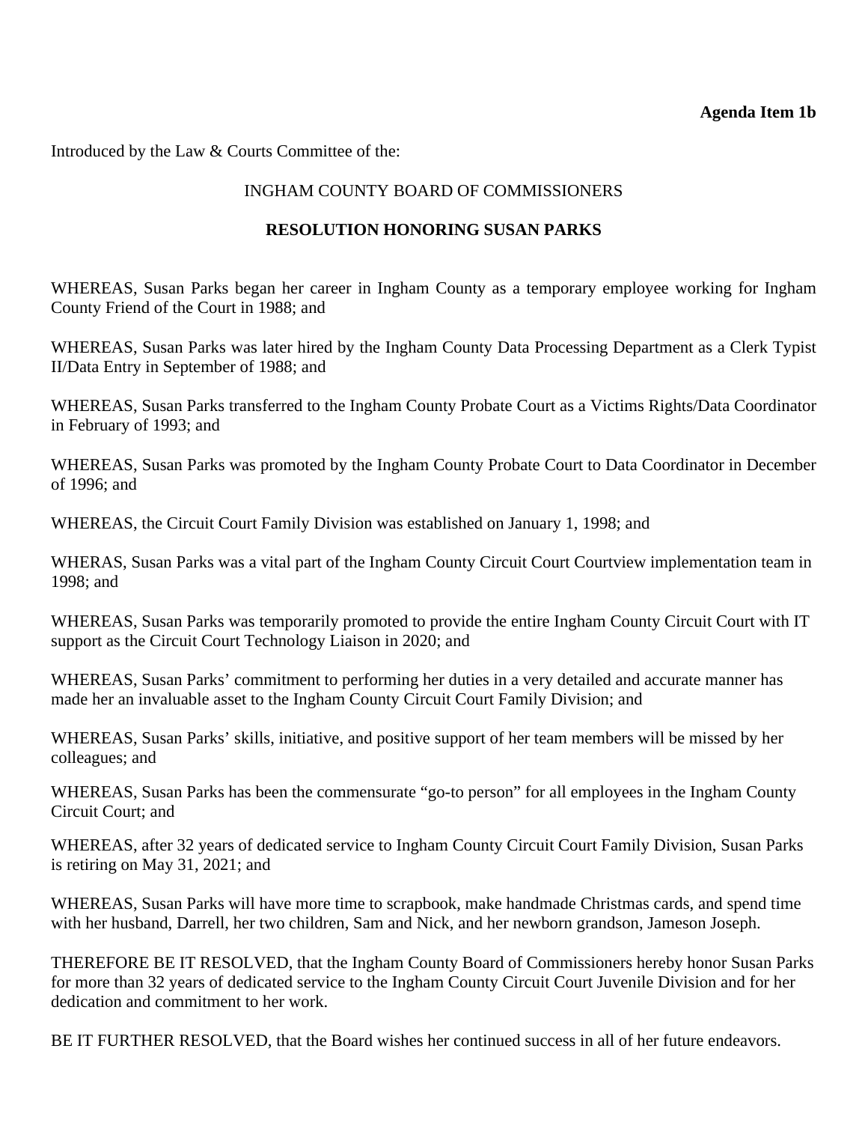### **Agenda Item 1b**

<span id="page-11-0"></span>Introduced by the Law & Courts Committee of the:

### INGHAM COUNTY BOARD OF COMMISSIONERS

### **RESOLUTION HONORING SUSAN PARKS**

WHEREAS, Susan Parks began her career in Ingham County as a temporary employee working for Ingham County Friend of the Court in 1988; and

WHEREAS, Susan Parks was later hired by the Ingham County Data Processing Department as a Clerk Typist II/Data Entry in September of 1988; and

WHEREAS, Susan Parks transferred to the Ingham County Probate Court as a Victims Rights/Data Coordinator in February of 1993; and

WHEREAS, Susan Parks was promoted by the Ingham County Probate Court to Data Coordinator in December of 1996; and

WHEREAS, the Circuit Court Family Division was established on January 1, 1998; and

WHERAS, Susan Parks was a vital part of the Ingham County Circuit Court Courtview implementation team in 1998; and

WHEREAS, Susan Parks was temporarily promoted to provide the entire Ingham County Circuit Court with IT support as the Circuit Court Technology Liaison in 2020; and

WHEREAS, Susan Parks' commitment to performing her duties in a very detailed and accurate manner has made her an invaluable asset to the Ingham County Circuit Court Family Division; and

WHEREAS, Susan Parks' skills, initiative, and positive support of her team members will be missed by her colleagues; and

WHEREAS, Susan Parks has been the commensurate "go-to person" for all employees in the Ingham County Circuit Court; and

WHEREAS, after 32 years of dedicated service to Ingham County Circuit Court Family Division, Susan Parks is retiring on May 31, 2021; and

WHEREAS, Susan Parks will have more time to scrapbook, make handmade Christmas cards, and spend time with her husband, Darrell, her two children, Sam and Nick, and her newborn grandson, Jameson Joseph.

THEREFORE BE IT RESOLVED, that the Ingham County Board of Commissioners hereby honor Susan Parks for more than 32 years of dedicated service to the Ingham County Circuit Court Juvenile Division and for her dedication and commitment to her work.

BE IT FURTHER RESOLVED, that the Board wishes her continued success in all of her future endeavors.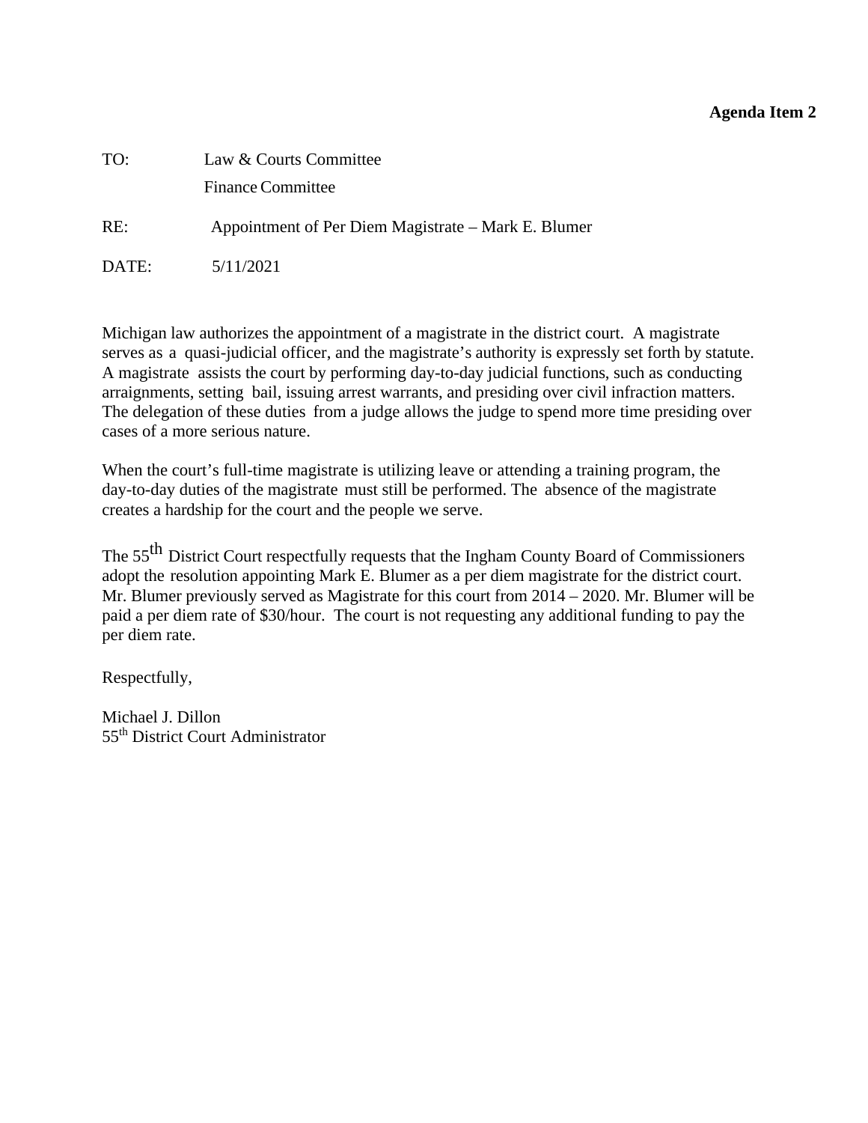### **Agenda Item 2**

<span id="page-12-0"></span>

| TO:   | Law & Courts Committee                              |
|-------|-----------------------------------------------------|
|       | <b>Finance Committee</b>                            |
| RE:   | Appointment of Per Diem Magistrate – Mark E. Blumer |
| DATE: | 5/11/2021                                           |

Michigan law authorizes the appointment of a magistrate in the district court. A magistrate serves as a quasi-judicial officer, and the magistrate's authority is expressly set forth by statute. A magistrate assists the court by performing day-to-day judicial functions, such as conducting arraignments, setting bail, issuing arrest warrants, and presiding over civil infraction matters. The delegation of these duties from a judge allows the judge to spend more time presiding over cases of a more serious nature.

When the court's full-time magistrate is utilizing leave or attending a training program, the day-to-day duties of the magistrate must still be performed. The absence of the magistrate creates a hardship for the court and the people we serve.

The 55<sup>th</sup> District Court respectfully requests that the Ingham County Board of Commissioners adopt the resolution appointing Mark E. Blumer as a per diem magistrate for the district court. Mr. Blumer previously served as Magistrate for this court from 2014 – 2020. Mr. Blumer will be paid a per diem rate of \$30/hour. The court is not requesting any additional funding to pay the per diem rate.

Respectfully,

Michael J. Dillon 55th District Court Administrator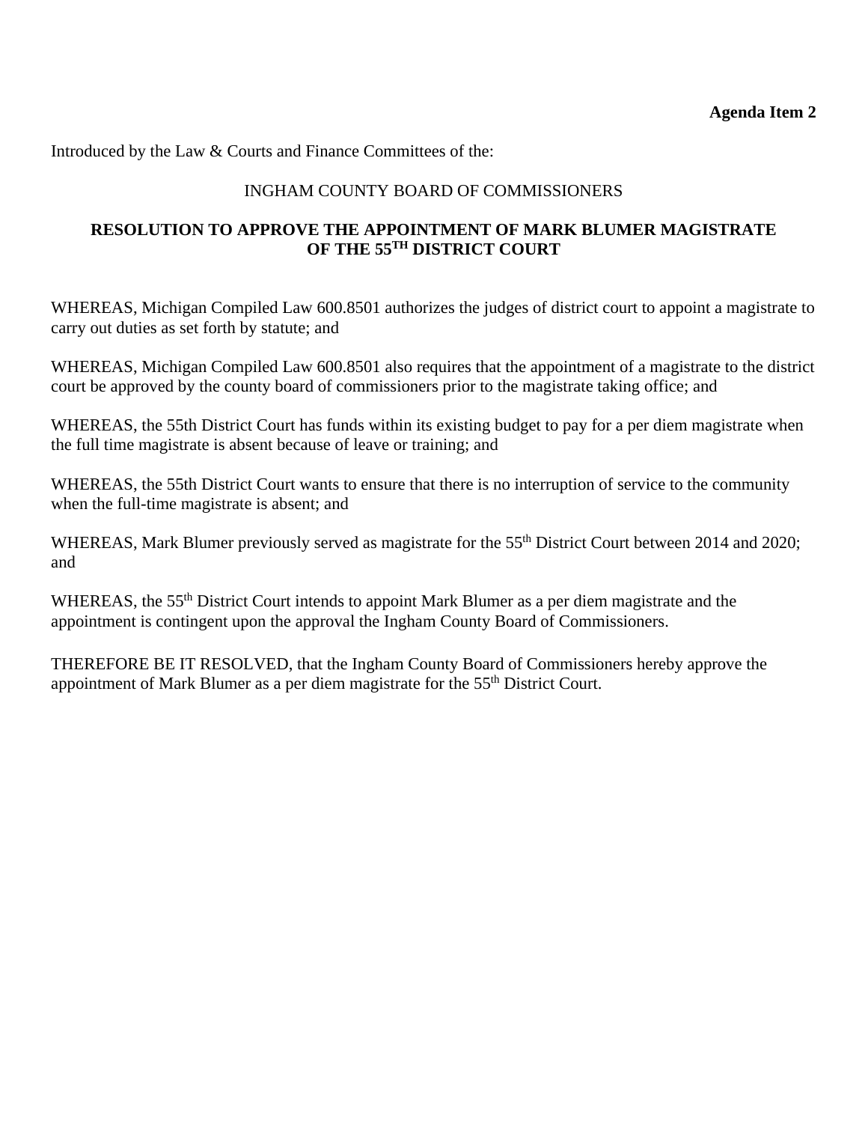Introduced by the Law & Courts and Finance Committees of the:

## INGHAM COUNTY BOARD OF COMMISSIONERS

### **RESOLUTION TO APPROVE THE APPOINTMENT OF MARK BLUMER MAGISTRATE OF THE 55TH DISTRICT COURT**

WHEREAS, Michigan Compiled Law 600.8501 authorizes the judges of district court to appoint a magistrate to carry out duties as set forth by statute; and

WHEREAS, Michigan Compiled Law 600.8501 also requires that the appointment of a magistrate to the district court be approved by the county board of commissioners prior to the magistrate taking office; and

WHEREAS, the 55th District Court has funds within its existing budget to pay for a per diem magistrate when the full time magistrate is absent because of leave or training; and

WHEREAS, the 55th District Court wants to ensure that there is no interruption of service to the community when the full-time magistrate is absent; and

WHEREAS, Mark Blumer previously served as magistrate for the 55<sup>th</sup> District Court between 2014 and 2020; and

WHEREAS, the 55<sup>th</sup> District Court intends to appoint Mark Blumer as a per diem magistrate and the appointment is contingent upon the approval the Ingham County Board of Commissioners.

THEREFORE BE IT RESOLVED, that the Ingham County Board of Commissioners hereby approve the appointment of Mark Blumer as a per diem magistrate for the 55<sup>th</sup> District Court.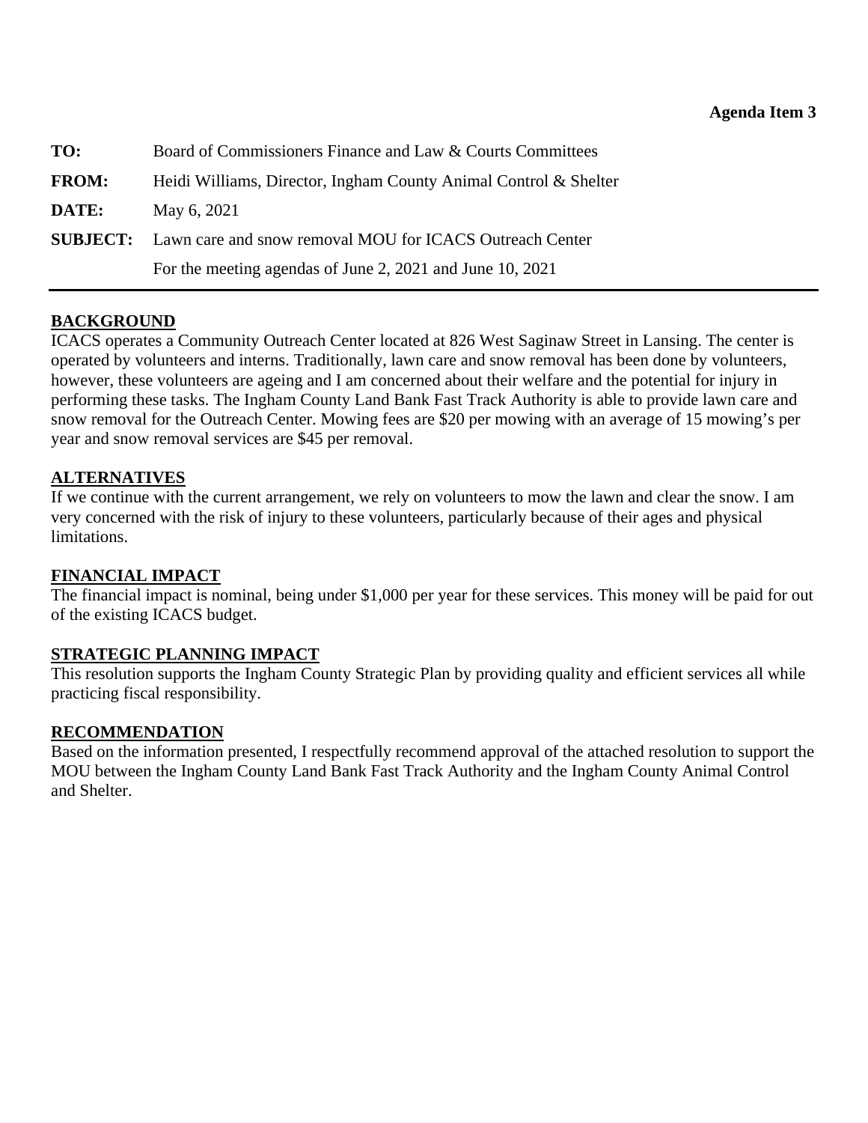<span id="page-14-0"></span>

| TO:          | Board of Commissioners Finance and Law & Courts Committees               |
|--------------|--------------------------------------------------------------------------|
| <b>FROM:</b> | Heidi Williams, Director, Ingham County Animal Control & Shelter         |
| DATE:        | May 6, 2021                                                              |
|              | <b>SUBJECT:</b> Lawn care and snow removal MOU for ICACS Outreach Center |
|              | For the meeting agendas of June 2, 2021 and June 10, 2021                |

### **BACKGROUND**

ICACS operates a Community Outreach Center located at 826 West Saginaw Street in Lansing. The center is operated by volunteers and interns. Traditionally, lawn care and snow removal has been done by volunteers, however, these volunteers are ageing and I am concerned about their welfare and the potential for injury in performing these tasks. The Ingham County Land Bank Fast Track Authority is able to provide lawn care and snow removal for the Outreach Center. Mowing fees are \$20 per mowing with an average of 15 mowing's per year and snow removal services are \$45 per removal.

### **ALTERNATIVES**

If we continue with the current arrangement, we rely on volunteers to mow the lawn and clear the snow. I am very concerned with the risk of injury to these volunteers, particularly because of their ages and physical limitations.

### **FINANCIAL IMPACT**

The financial impact is nominal, being under \$1,000 per year for these services. This money will be paid for out of the existing ICACS budget.

### **STRATEGIC PLANNING IMPACT**

This resolution supports the Ingham County Strategic Plan by providing quality and efficient services all while practicing fiscal responsibility.

### **RECOMMENDATION**

Based on the information presented, I respectfully recommend approval of the attached resolution to support the MOU between the Ingham County Land Bank Fast Track Authority and the Ingham County Animal Control and Shelter.